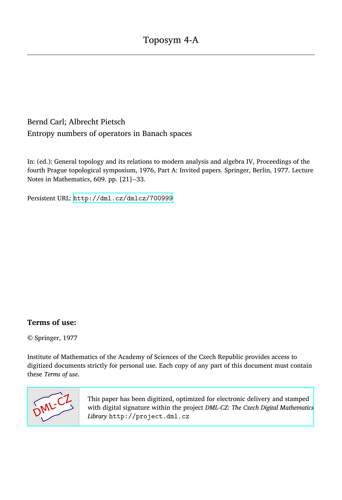# Bernd Carl; Albrecht Pietsch Entropy numbers of operators in Banach spaces

In: (ed.): General topology and its relations to modern analysis and algebra IV, Proceedings of the fourth Prague topological symposium, 1976, Part A: Invited papers. Springer, Berlin, 1977. Lecture Notes in Mathematics, 609. pp. [21]--33.

Persistent URL: <http://dml.cz/dmlcz/700999>

# **Terms of use:**

© Springer, 1977

Institute of Mathematics of the Academy of Sciences of the Czech Republic provides access to digitized documents strictly for personal use. Each copy of any part of this document must contain these *Terms of use*.



[This paper has been digitized, optimized for electronic delivery and stamped](http://project.dml.cz) with digital signature within the project *DML-CZ: The Czech Digital Mathematics Library* http://project.dml.cz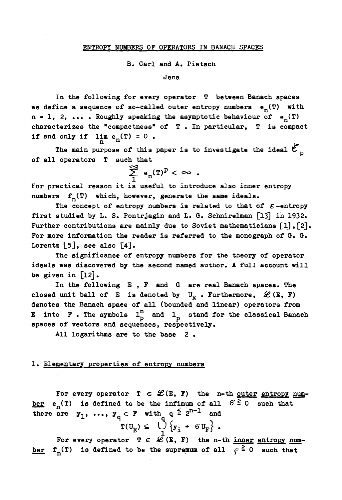#### **B\*** C**arl and A# Pietsch**

**Jena** 

**I**n **the followi**n**g for every operator T between Banach spaces we define a sequence of so-called outer entropy numbers en(T) with**   $n = 1$ , 2, ... . Roughly speaking the asymptotic behaviour of  $e_n(T)$ **characterizes the "compactness" of T . In particular, T is compact if and only if**  $\lim_{n} e_n(T) = 0$ .

**n**<br>rnose of this paper is to investigate the ideal  $\ell$ . **The main purpose of this paper is to investigate the ideal C of all operators T such that** 

$$
\sum_{1}^{\infty} e_n(T)^p < \infty \enspace .
$$

**For practical reason it is useful to introduce also inner entropy numbers fn(T) which, however, generate the same ideals.** 

The concept of entropy numbers is related to that of  $\varepsilon$ -entropy first studied by L. S. Pontrjagin and L. G. Schnirelman [13] in 1932. **Further contributions are mainly due to Soviet mathematicians [1],[2]. For more information the reader is referred to the monograph of G. G.**  Lorentz  $[5]$ , see also  $[4]$ .

**The significance of entropy numbers for the theory of operator ideals was discovered by the second named author. A full account will be given in [12] •** 

**In the following E , F and 6 are real Banach spaces. The**  closed unit ball of E is denoted by  $U_{\overline{k}}$  . Furthermore,  $\mathscr{L}(\mathbb{E}, \mathbb{F})$ **denotes the Banach space of all (bounded and linear) operators from E** into **F**. The symbols  $1_p^n$  and  $1_p$  stand for the classical Banach **spaces of vectors and sequences, respectively.** 

**All logarithms are to the base 2 •** 

# **1. Elementary properties of entropy numbers**

For every operator  $T \in \mathcal{L}(E, F)$  the n-th <u>outer entropy num</u>**ber**  $e_n(T)$  is defined to be the infimum of all  $G \ge 0$  such that there are  $y_1$ , ...,  $y_a \in F$  with  $q \geq 2^{n-1}$  and  $T(U_{\overline{E}}) \subseteq \bigcup_{i=1}^{n} \{y_i + \sigma U_{\overline{F}}\}$ .

For every operator  $T \in \mathcal{L}(E, F)$  the n-th <u>inner entropy num</u>ber  $f_n(T)$  is defined to be the supremum of all  $\rho \ge 0$  such that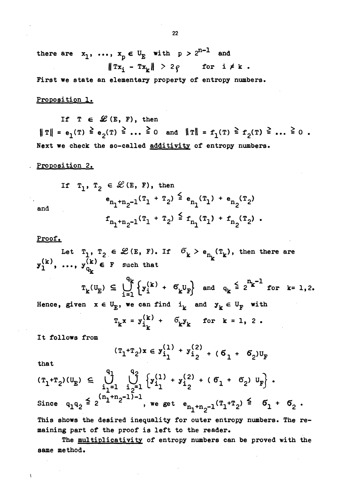**there are**  $x_1$ , ...,  $x_p \in U_E$  with  $p > 2^{n-1}$  and  $\|\text{Tx}_i - \text{Tx}_k\| > 2q$  for  $i \neq k$ .

**First we state a**n **eleme**n**tary property of e**n**tropy** n**umbers.** 

#### **Propositio**n **1.**

If  $T \in \mathcal{L}(E, F)$ , then  $||T|| = e_1(T) \ge e_2(T) \ge \ldots \ge 0$  and  $||T|| = f_1(T) \ge f_2(T) \ge \ldots \ge 0$ . **Next we check the so-called additivity of e**n**tropy** n**umbers.** 

#### **Propositio**n **2.**

$$
\begin{array}{ll}\n\text{If } \quad T_1, \; T_2 \; \in \; \mathcal{L}(E, \; F), \text{ then} \\
& \mathbf{e}_{n_1+n_2-1}(T_1 + T_2) \; \leq \; \mathbf{e}_{n_1}(T_1) \; + \; \mathbf{e}_{n_2}(T_2) \\
& \mathbf{f}_{n_1+n_2-1}(T_1 + T_2) \; \leq \; \mathbf{f}_{n_1}(T_1) \; + \; \mathbf{f}_{n_2}(T_2) \end{array}
$$

# **Proof.**

Let  $T_1$ ,  $T_2 \in \mathcal{L}(E, F)$ . If  $\sigma_k > e_{n_k}(T_k)$ , then there are  $\mathbf{y}_1^{\setminus K}$ ,  $\ldots$ ,  $\mathbf{y}_{\mathsf{G}_{k}}^{\setminus K}$   $\in$  **F** such that

 $q_k$   $q_{k-1}$   $q_{n-2}$  $T_k(U_E) \subseteq \bigcup_{k=1}^K \{y_i^{(k)} + \delta_k U_F\}$  and  $q_k \geq 2^{k}$  for k= 1,2. Hence, given  $x \in U_E$ , we can find  $i_k$  and  $y_k \in U_F$  with

$$
T_k x = y_{i_k}^{(k)} + \delta_k y_k \quad \text{for } k = 1, 2.
$$

**It follows from** 

 $\ddot{\phantom{1}}$ 

$$
(\mathbf{T}_1 + \mathbf{T}_2) \mathbf{x} \in \mathbf{y}_{i_1}^{(1)} + \mathbf{y}_{i_2}^{(2)} + (\mathbf{G}_1 + \mathbf{G}_2) \mathbf{U}_{\mathbf{F}}
$$

**that** 

 $\mathbf{I}$ 

$$
(\mathbf{T}_{1} + \mathbf{T}_{2})(\mathbf{U}_{E}) \subseteq \bigcup_{i_{1}=1}^{q_{1}} \bigcup_{i_{2}=1}^{q_{2}} \left\{ y_{i_{1}}^{(1)} + y_{i_{2}}^{(2)} + (\sigma_{1} + \sigma_{2}) \mathbf{U}_{F} \right\}.
$$
  
Since  $q_{1}q_{2} \leq 2^{(n_{1}+n_{2}-1)-1}$ , we get  $e_{n_{1}+n_{2}-1}(\mathbf{T}_{1} + \mathbf{T}_{2}) \leq \sigma_{1} + \sigma_{2}$ .

This shows the desired inequality for outer entropy numbers. The remaining part of the proof is left to the reader.

**The multiplicativity of e**n**tropy** n**umbers ca**n **be proved with the same method.**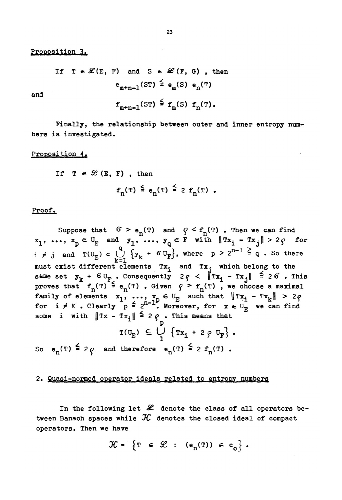**Proposition 3.** 

If  $T \in \mathcal{L}(E, F)$  and  $S \in \mathcal{L}(F, G)$ , then  $e_{m+n-1}$ (ST) =  $e_{m}$ (S)  $e_{n}$ (T)

**a**n**d** 

$$
f_{m+n-1}(ST) \stackrel{\leq}{=} f_m(S) f_n(T).
$$

Finally, the relationship between outer and inner entropy num**bers is investigated.** 

#### **Proposition 4.**

*If*  $T \in \mathcal{L}$  (E, F), then  $f_n(T) \leq e_n(T) \leq 2 f_n(T)$ .

# **Proof.**

Suppose that  $6 > e_n(T)$  and  $9 \leq f_n(T)$ . Then we can find  $\mathbf{x}_1, \ldots, \mathbf{x}_p \in \mathbb{U}_{\mathbf{E}}$  and  $\mathbf{y}_1, \ldots, \mathbf{y}_q \in \mathbf{F}$  with  $\|\mathbb{T}\mathbf{x}_i - \mathbb{T}\mathbf{x}_j\| > 2\varrho$  for  $i \neq j$  and  $T(U_{\overline{E}}) \subset \bigcup_{k=1}^{n} \{y_k + \delta U_{\overline{F}}\}$ , where  $p \geq 2^{n-1} = q$ . So then **must exist different elements Tx. and Tx. which belong to the**   $\mathbf{s}$ <sup>s are</sup> set  $\mathbf{y}_k$  +  $6\mathbf{U}_F$  . Consequently  $2\varrho \leq ||\mathbf{x}_k - \mathbf{x}_i|| \geq 26$  . This **proves that**  $f_n(T) \geq e_n(T)$  **. Given**  $f \geq f_n(T)$ **, we choose a maximal family** of elements  $x_1$ , ...,  $x_n \in U_F$  such that  $||Tx_i - Tx_k|| > 2e$ **for i**  $\neq$  K . Clearly  $p \triangleq 2^{n-1}$ . Moreover, for  $x \in U_p$  we can find some i with  $\|Tx - Tx_i\| \ge 2$   $\varphi$  • This means that

$$
T(U_E) \subseteq \bigcup_{1}^{P} \{Tx_i + 2 \circ U_F\}.
$$
  
So  $e_n(T) \leq 2 \circ$  and therefore  $e_n(T) \leq 2 f_n(T)$ .

## **2. Quasi-normed operator ideals related to entropy numbers**

In the following let  $\mathscr L$  denote the class of all operators be**tween Banach spaces while** *3C* **denotes the closed ideal of compact operators. Then we have** 

$$
\mathcal{K} = \left\{ T \in \mathcal{L} : (e_n(T)) \in c_0 \right\}.
$$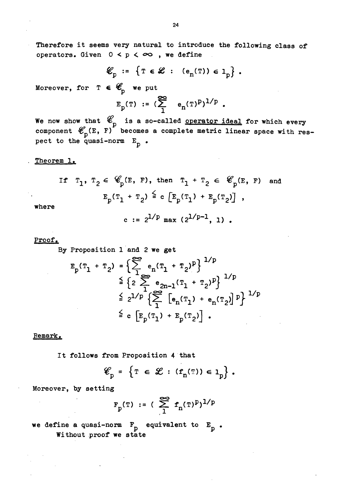**Therefore it seems very nat**u**ral to introd**u**ce the following class of**  operators. Given  $0 < p < \infty$ , we define

$$
\mathcal{E}_p := \{ T \in \mathcal{L} : (e_n(T)) \in 1_p \} .
$$

Moreover, for  $T \in \mathscr{C}_{n}$  we put

$$
E_p(T) := (\sum_{1}^{\infty} e_n(T)^p)^{1/p}
$$
.

**We now show that \*e is a so-called operator ideal for which every component**  $\mathfrak{C}_{p}$ (E, F) becomes a complete metric linear space with respect to the quasi-norm  $E_p$ .

## **Theorem 1.**

If 
$$
T_1, T_2 \in \mathscr{C}_p(E, F)
$$
, then  $T_1 + T_2 \in \mathscr{C}_p(E, F)$  and  
 $E_p(T_1 + T_2) \stackrel{\le}{=} c \left[ E_p(T_1) + E_p(T_2) \right]$ ,

**where** 

c := 
$$
2^{1/p}
$$
 max ( $2^{1/p-1}$ , 1).

# **Proof.**

**By Proposition 1 and 2 we get** 

$$
E_{p}(T_{1} + T_{2}) = \left\{ \sum_{1}^{\infty} e_{n}(T_{1} + T_{2})^{p} \right\}^{1/p}
$$
  
\n
$$
\leq \left\{ 2 \sum_{1}^{\infty} e_{2n-1}(T_{1} + T_{2})^{p} \right\}^{1/p}
$$
  
\n
$$
\leq 2^{1/p} \left\{ \sum_{1}^{\infty} [e_{n}(T_{1}) + e_{n}(T_{2})]^{p} \right\}^{1/p}
$$
  
\n
$$
\leq c \left[ E_{p}(T_{1}) + E_{p}(T_{2}) \right].
$$

#### **Remark.**

**It follows from Proposition 4 that** 

$$
\mathcal{E}_p = \left\{ T \in \mathcal{L} : (f_n(T)) \in 1_p \right\}.
$$

**Moreover, by setting** 

$$
F_p(T) := (\sum_{1}^{\infty} f_n(T)^p)^{1/p}
$$

we define a quasi-norm  $F_p$  equivalent to  $E_p$ . **Witho**u**t proof we state**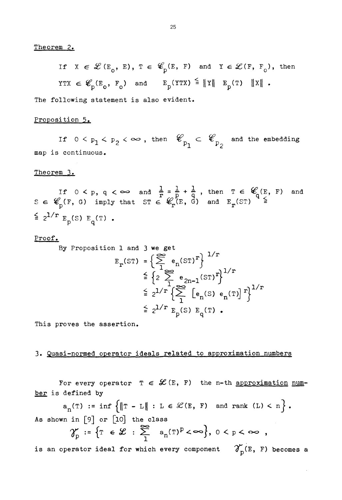Theorem *2.* 

If  $X \in \mathcal{L}(E_0, E), T \in \mathcal{L}(E, F)$  and  $Y \in \mathcal{L}(F, F_0)$ , then  $\texttt{YTX} \ \in \mathscr{C}_{\textsc{d}}(\texttt{E}_{\textsc{d}},\texttt{F}_{\textsc{d}}) \quad \text{and} \qquad \texttt{E}_{\textsc{d}}(\texttt{YTX}) \ \stackrel{\leq}{=} \| \texttt{Y} \| \quad \texttt{E}_{\textsc{d}}(\texttt{T}) \quad \| \texttt{X} \| \enspace.$ 

The following statement is also evident.

# Proposition 5.

If  $0 < p_1 < p_2 < \infty$  , then  $\mathscr{C}_{p_1} \subset \mathscr{C}_{p_2}$  and the embedding map is continuous.

Theorem 3.

If  $0 < p$ ,  $q < \infty$  and  $\frac{1}{p} = \frac{1}{p} + \frac{1}{q}$ , then  $T \in \mathscr{C}_{q}(E, F)$  and  $S \in \mathscr{C}_{p}(F, G)$  imply that  $ST \in \mathscr{C}_{p}(E, G)$  and  $E_{p}(ST) \geq 0$  $\leq$  2<sup>1/r</sup>  $E_p(S) E_q(T)$ .

#### Proof,

sition 1 and 3 we get  
\n
$$
E_r(ST) = \left\{ \sum_{1}^{\infty} e_n(ST)^r \right\}^{1/r}
$$
\n
$$
\leq \left\{ 2 \sum_{1}^{\infty} e_{2n-1}(ST)^r \right\}^{1/r}
$$
\n
$$
\leq 2^{1/r} \left\{ \sum_{1}^{\infty} \left[ e_n(S) e_n(T) \right]^r \right\}^{1/r}
$$
\n
$$
\leq 2^{1/r} E_p(S) E_q(T).
$$

This proves the assertion.

By Propo

# 3« Quasi-normed operator ideals related to approximation numbers

For every operator  $T \in \mathcal{L}(E, F)$  the n-th approximation number is defined by

 $a_n(T) := \inf \{ \|T - L\| : L \in \mathcal{L}(E, F) \text{ and rank } (L) < n \}.$ As shown in  $[9]$  or  $[10]$  the class

$$
\gamma_p':=\left\{\mathbb{T} \in \mathscr{L} \ : \ \sum_{1}^{\infty} \quad a_n(\mathbb{T})^p < \infty \right\}, \ 0 < p < \infty \enspace ,
$$

is an operator ideal for which every component  $\gamma_{\rm p}^{\prime}(\text{E, F})$  becomes a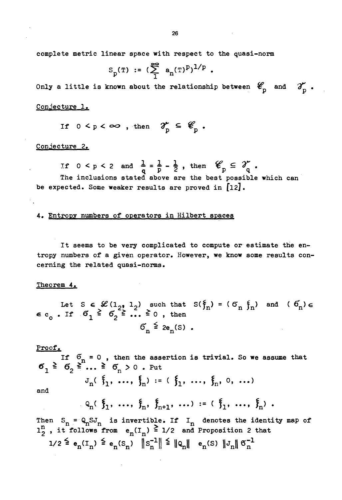**complete metric linear space with respect to the q**u**asi-norm** 

$$
S_p(T) := (\sum_1^{\infty} a_n(T)^p)^{1/p} .
$$

Only a little is known about the relationship between  $\mathscr{C}_{p}$  and  $\mathscr{T}_{p}$ .

C**onject**u**re 1.** 

$$
\text{If } 0 < p < \infty \text{, then } \mathcal{T}_p \subseteq \mathscr{C}_p \text{.}
$$

C**onject**u**re 2.** 

If  $0 < p < 2$  and  $\frac{1}{q} = \frac{1}{p} - \frac{1}{2}$ , then  $\mathscr{C}_p \subseteq \mathscr{X}_q$ .

The inclusions stated above are the best possible which can be expected. Some weaker results are proved in [12].

**4# Entropy n**u**mbers of operators in Hilbert spaces** 

**It seems to be very complicated to comp**u**te or estimate the entropy numbers of a given operator. However, we know some results concerning the related quasi-norms.** 

#### **Theorem 4»**

Let S  $\in \mathscr{L}(1_{2}, 1_{2})$  such that  $S(\xi_{n}) = (\sigma_{n} \xi_{n})$  and  $(\sigma_{n}) \in$  $\epsilon$  c<sub>o</sub>. If  $\delta_1 \leq \delta_2 \leq ... \leq 0$ , then  $6^{\circ}$   $\leq$  2e<sub>r</sub>(S).

**Proof.** 

**If 6>n = 0 , then the assertion is trivial. So we assume that**   $\sigma_1 \triangleq \sigma_2 \geq \ldots \geq \sigma_n > 0$ . Put

$$
J_n(\xi_1, ..., \xi_n) := (\xi_1, ..., \xi_n, 0, ...)
$$

**and** 

$$
Q_n(\xi_1, \ldots, \xi_n, \xi_{n+1}, \ldots) := (\xi_1, \ldots, \xi_n).
$$

Then  $S_n = Q_n S J_n$  is invertible. If  $I_n$  denotes the identity map of  $1^{\text{II}}_{2}$ , it follows from  $e_{n}(I_{n}) \leq 1/2$  and Proposition 2 that 1/2 <sup>≥</sup>  $e_n(I_n)$  ≥  $e_n(S_n)$  ||S<sub>n</sub><sup>1</sup>|| ≥ ||Q<sub>n</sub>||  $e_n(S)$  ||J<sub>n</sub>||  $S_n^{-1}$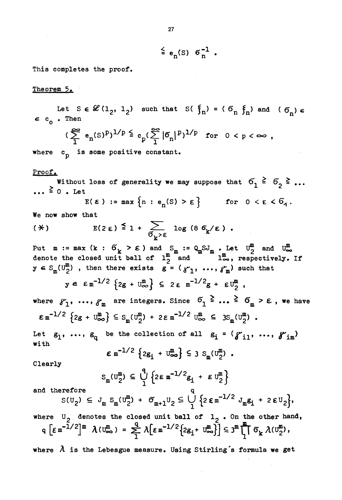$\leq$  e<sub>n</sub>(S)  $6\frac{1}{n}$ .

This completes the proof.

#### Theorem 5.

Let  $S \in \mathcal{L}(1_2, 1_2)$  such that  $S(\xi_n) = (\delta_n, \xi_n)$  and  $(\delta_n) \in$  $\epsilon$  c Then  $(\sum_{i=1}^{\infty} e_n(s)^p)^{1/p} \leq c_p(\sum_{i=1}^{\infty} |\mathcal{B}_n|^p)^{1/p}$  for  $0 < p < \infty$ , where  $c_n$  is some positive constant. Proof. Without loss of generality we may suppose that  $6_1 \stackrel{\geq}{=} 6_2 \stackrel{\geq}{=} \ldots$  $\ldots \stackrel{\geq}{\scriptstyle{\sim}} 0$  . Let  $E(\varepsilon) := \max \{n : e_n(S) > \varepsilon\}$  for  $0 < \varepsilon < 6$ . We now show that  $E(2 \epsilon) \stackrel{\leq}{=} 1 + \sum_{\sigma_v > \epsilon} \log (8 \sigma_k / \epsilon)$ .  $(*)$ Put  $m := max$  (k :  $G_k > \varepsilon$ ) and  $S_m := Q_m S J_m$ . Let  $U_2^m$  and  $U_{\infty}^m$  denote the closed unit ball of  $1^m$  and  $1^m$  o, respectively. If  $y \in S_m(U_2^m)$ , then there exists  $g = (y_1, ..., y_m)$  such that  $y \in \varepsilon m^{-1/2} \left\{ 2g + U_{\infty}^{m} \right\} \subseteq 2 \varepsilon m^{-1/2} g + \varepsilon U_{2}^{m}$ , where  $S_1$ , ...,  $S_m$  are integers. Since  $S_1 \n\geq \n\ldots \n\geq S_m > \varepsilon$ , we have  $\epsilon \, \text{m}^{-1/2} \, \left\{ 2g + \text{U}_{\infty}^{\text{m}} \right\} \leq s_{\text{m}}(\text{U}_{2}^{\text{m}}) + 2\epsilon \, \text{m}^{-1/2} \, \text{U}_{\infty}^{\text{m}} \leq 3s_{\text{m}}(\text{U}_{2}^{\text{m}})$ . Let  $g_1$ , ...,  $g_a$  be the collection of all  $g_i = (g_{i1}^1, ..., g_{im}^m)$ with  $\epsilon$  m<sup>-1/2</sup>  $\{2g_i + U_{\infty}^m\} \leq 3 S_m(U_2^m)$ . Clearly  $S_m(U_2^m) \subseteq \bigcup_{i=1}^m \{2\epsilon m^{-1/2}g_i + \epsilon U_2^m\}$ and therefore  $s(v_2) \leq J_m S_m(v_2^m) + \sigma_{m+1}v_2 \leq \bigvee_{1}^{m} \{2 \epsilon_m^{-1/2} J_m \epsilon_1 + 2 \epsilon v_2\},\$ where  $U_2$  denotes the closed unit ball of  $1_2$ . On the other hand,  $q \left[\varepsilon m^{-1/2}\right]^{m} \lambda(v_{\infty}^{m}) = \sum_{i=1}^{q} \lambda \left[\varepsilon m^{-1/2} \left\{2g_{i} + v_{\infty}^{m}\right\}\right] \leq 3^{m} \prod_{i=1}^{m} \sigma_{k} \lambda(v_{2}^{m}),$ where  $\lambda$  is the Lebesgue measure. Using Stirling's formula we get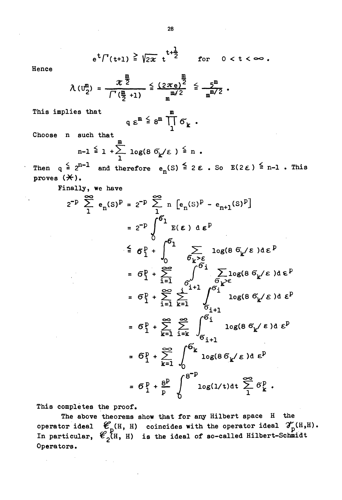$$
e^t \Gamma(t+1) \stackrel{\geq}{=} \sqrt{2\pi} t^{t+\frac{1}{2}}
$$
 for  $0 < t < \infty$ .

Hence

 $\mathcal{F}_{\mathbf{q}}$ 

$$
\lambda (U_2^m) = \frac{\pi^{\frac{m}{2}}}{\int^{\infty} (\frac{m}{2} + 1)} \leq \frac{(2\pi e)^{\frac{m}{2}}}{m^{m/2}} \leq \frac{5^m}{m^{m/2}}.
$$

This implies that

$$
q \varepsilon^m \stackrel{\leq}{=} 8^m \prod_1^m \sigma_k.
$$

Choose n such that

$$
n-1 \stackrel{\leq}{=} 1 + \sum_{1}^{\infty} \log(8.6 \frac{1}{k}) \stackrel{\leq}{=} n.
$$

Then  $q \stackrel{\leq}{=} 2^{n-1}$  and therefore  $e_n(S) \stackrel{\leq}{=} 2 \varepsilon$ . So  $E(2\varepsilon) \stackrel{\leq}{=} n-1$ . This proves  $(\nless)$ .

Finally, we have

$$
2^{-p} \sum_{1}^{\infty} e_{n}(s)^{p} = 2^{-p} \sum_{1}^{\infty} n \left[ e_{n}(s)^{p} - e_{n+1}(s)^{p} \right]
$$
  
\n
$$
= 2^{-p} \int_{0}^{6} E(\epsilon) d \epsilon^{p}
$$
  
\n
$$
\leq \sigma_{1}^{p} + \int_{0}^{6} \sum_{\delta_{k} > \epsilon} \log(8 \sigma_{k}/\epsilon) d \epsilon^{p}
$$
  
\n
$$
= \sigma_{1}^{p} + \sum_{i=1}^{\infty} \int_{\delta_{i}+1}^{6} \sum_{\delta_{k} > \epsilon} \log(8 \sigma_{k}/\epsilon) d \epsilon^{p}
$$
  
\n
$$
= \sigma_{1}^{p} + \sum_{i=1}^{\infty} \sum_{k=1}^{i} \int_{\delta_{i}+1}^{6} \log(8 \sigma_{k}/\epsilon) d \epsilon^{p}
$$
  
\n
$$
= \sigma_{1}^{p} + \sum_{k=1}^{\infty} \sum_{i=k}^{\infty} \int_{\delta_{i}+1}^{6} \log(8 \sigma_{k}/\epsilon) d \epsilon^{p}
$$
  
\n
$$
= \sigma_{1}^{p} + \sum_{k=1}^{\infty} \int_{0}^{6} k \log(8 \sigma_{k}/\epsilon) d \epsilon^{p}
$$
  
\n
$$
= \sigma_{1}^{p} + \sum_{k=1}^{\infty} \int_{0}^{6} \log(8 \sigma_{k}/\epsilon) d \epsilon^{p}
$$
  
\n
$$
= \sigma_{1}^{p} + \frac{8^{p}}{p} \int_{0}^{8^{-p}} \log(1/t) dt \sum_{i=1}^{\infty} \sigma_{k}^{p}.
$$

This completes the proof.

The above theorems show that for any Hilbert space H the operator ideal  $\mathscr{C}_{p}(H, H)$  coincides with the operator ideal  $\mathscr{V}_{p}(H, H)$ .<br>In particular,  $\mathscr{C}_{p}(H, H)$  is the ideal of so-called Hilbert-Schmidt Operators.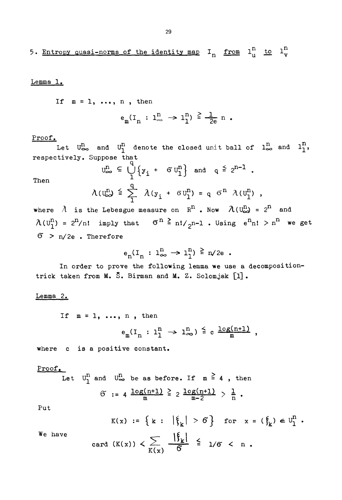# Lemma 1.

If  $m = 1, \ldots, n$ , then

$$
e_m(I_n : l_\infty^n \to l_1^n) \stackrel{\ge}{=} \frac{1}{2e} n
$$
.

Proof.

Then

Let  $U_{\infty}^{n}$  and  $U_{1}^{n}$  denote the closed unit ball of  $1^{n}_{\infty}$  and  $1^{n}_{1}$ , respectively• Suppose that

$$
U_{\infty}^{\mathbf{n}} \subseteq \bigcup_{1}^{n} \{y_{i} + \sigma U_{1}^{\mathbf{n}}\} \text{ and } q \leq 2^{\mathbf{n}-1}.
$$
  

$$
\lambda(U_{\infty}^{\mathbf{n}}) \leq \sum_{1}^{q} \lambda(y_{i} + \sigma U_{1}^{\mathbf{n}}) = q \sigma^{\mathbf{n}} \lambda(U_{1}^{\mathbf{n}}),
$$

where  $\lambda$  is the Lebesgue measure on  $R^n$ . Now  $\lambda(U^{n}_{\infty}) = 2^n$  and  $\lambda(\mathbb{U}_1^n)$  = 2<sup>n</sup>/n! imply that  $\sigma^n \ge n! / _2$ n-l. Using  $e^n$ n!  $> n^n$  we get *6* > n/2e . Therefore

$$
e_n(I_n: 1_{\infty}^n \to 1_1^n) \stackrel{\geq}{\leq} n/2e.
$$

In order to prove the following lemma we use a decompositiontrick taken from M. 5. Birman and M» Z. Solomjak *[l\* •

#### Lemma *2.*

If  $m = 1, \ldots, n$ , then

$$
e_m(I_n : l_1^n \to l_\infty^n) \leq c \frac{\log(n+1)}{m}
$$

where c is a positive constant.

# Proof.

Let 
$$
U_1^n
$$
 and  $U_{\infty}^n$  be as before. If  $m \ge 4$ , then  
 $\widetilde{O} := 4 \frac{\log(n+1)}{m} \ge 2 \frac{\log(n+1)}{m-2} > \frac{1}{n}$ .

Put

$$
K(x) := \left\{ k : \left| \xi_k \right| > 6 \right\} \text{ for } x = (\xi_k) \in U_1^n.
$$

We have

card 
$$
(K(x)) < \sum_{K(x)} \frac{|\xi_k|}{6} \leq 1/6 < n
$$
.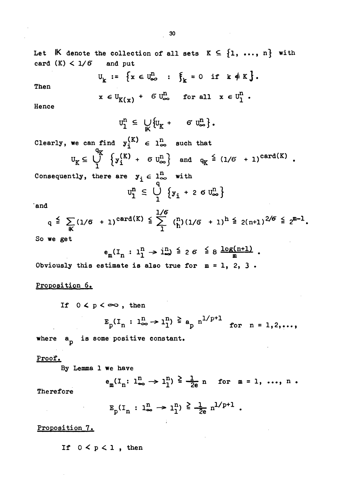$\label{eq:2.1} \frac{1}{\sqrt{2}}\int_{0}^{\infty}\frac{1}{\sqrt{2\pi}}\left(\frac{1}{\sqrt{2\pi}}\right)^{2}d\mu\left(\frac{1}{\sqrt{2\pi}}\right) \frac{d\mu}{\sqrt{2\pi}}\,.$ 

 $\Delta \sim 1$ 

 $\mathcal{L}^{(1)}$  .

 $\mathcal{L}^{\text{max}}_{\text{max}}$ 

| Let $\mathbb K$ denote the collection of all sets $K \subseteq \{1, , n\}$ with<br>card $(K) < 1/6$<br>and put                                         |
|--------------------------------------------------------------------------------------------------------------------------------------------------------|
| $U_k := \{x \in U_\infty^n : \xi_k = 0 \text{ if } k \notin K\}.$<br>Then                                                                              |
| $x \in U_{K(x)} + \sigma U_{\infty}^{n}$ for all $x \in U_{1}^{n}$ .<br>Hence                                                                          |
| $\mathbf{u}_{1}^{\mathrm{n}} \ \subseteq \ \bigcup_{\mathbf{k}'} \left\{ \mathbf{u}_{K} \ + \ \mathbf{G} \ \mathbf{u}_{\infty}^{\mathrm{n}} \right\}.$ |
| Clearly, we can find $y_i^{(K)} \in l_{\infty}^n$ such that                                                                                            |
| $U_K \subseteq \bigcup_{i=1}^{4K} \{y_i^{(K)} + \sigma U_{\infty}^n\}$ and $q_K \stackrel{\leq}{=} (1/\sigma + 1)^{\text{card}(K)}$ .                  |
| Consequently, there are $y_i \in 1_{\infty}^n$ with                                                                                                    |
| $u_1^n \n\subseteq \bigcup_{i=1}^{n} \{y_i + 2 \sigma u_{\infty}^n\}$                                                                                  |
| `and                                                                                                                                                   |
| $q \leq \sum_{n \in \mathbb{Z}} (1/6 + 1)^{\text{card}(K)} \leq \sum_{n=1}^{1/6} {n \choose h} (1/6 + 1)^h \leq 2(n+1)^{2/6} \leq 2^{m-1}.$            |
| So we get                                                                                                                                              |
| $e_m(I_n : I_1^n \to I_m^n) \leq 26 \leq 8 \frac{\log(n+1)}{n}$ .                                                                                      |
| Obviously this estimate is also true for $m = 1$ , 2, 3.                                                                                               |
| Proposition 6.                                                                                                                                         |
| If $0 < p < \infty$ , then                                                                                                                             |
| $E_p(I_n : l_{\infty}^n \to l_1^n) \stackrel{\geq}{=} a_p n^{1/p+1}$ for $n = 1, 2, $                                                                  |
| where a <sub>p</sub> is some positive constant.                                                                                                        |
| Proof.<br>By Lemma 1 we have                                                                                                                           |
| $e_m(I_n: 1_{\infty}^n \to 1_1^n) \stackrel{\ge}{\leq} \frac{1}{2e} n$ for $m = 1, , n$ .<br>Therefore                                                 |
| $E_p(I_n : 1_{\infty}^n \to 1_1^n) \geq \frac{1}{2e} n^{1/p+1}$ .                                                                                      |
| Proposition 7.                                                                                                                                         |
| If $0 < p < 1$ , then                                                                                                                                  |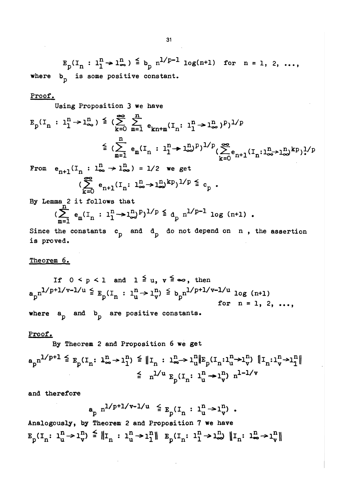$E_p(I_n : l_1^n \to l_m^n) \stackrel{\leq}{=} b_p n^{1/p-1} \log(n+1)$  for  $n = 1, 2, ...,$ where b<sub>n</sub> is some positive constant.

#### **Proof.**

Using Proposition 3 we have

$$
E_{p}(I_{n} : 1_{1}^{n} \to 1_{\infty}^{n}) \leq (\sum_{k=0}^{\infty} \sum_{m=1}^{n} e_{kn+m}(I_{n} : 1_{1}^{n} \to 1_{\infty}^{n})^{p})^{1/p}
$$
  

$$
\leq (\sum_{m=1}^{n} e_{m}(I_{n} : 1_{1}^{n} \to 1_{\infty}^{n})^{p})^{1/p} (\sum_{k=0}^{\infty} e_{n+1}(I_{n} : 1_{\infty}^{n} \to 1_{\infty}^{n})^{k p})^{1/p}
$$
  
From  $e_{n+1}(I_{n} : 1_{\infty}^{n} \to 1_{\infty}^{n}) = 1/2$  we get

From  $e_{n+1}^{\text{}}(I_n : 1_{\infty}^{\text{th}} \to 1_{\infty}^{\text{th}}) = 1/2$  we get  $(\sum e_{n+1}(I_n: 1_{\infty}^n \to 1_{\infty}^n)^{kp})^{1/p} \leq c_n$ .

**By Lemma 2 i t follows that** 

$$
(\sum_{m=1}^{n} e_m(I_n : 1^n \to 1^n) P)^{1/p} \leq d_p n^{1/p-1} \log (n+1).
$$

Since the constants  $c_p$  and  $d_p$  do not depend on n, the assertion **is proved.** 

#### **Theorem 6.**

If  $0 \leq p \leq 1$  and  $1 \leq u, v \leq \infty$ , then  $\mathbf{a}_{\mathrm{p}}^{\mathrm{n}^{1/p+1/\nu-1/u}} \stackrel{\scriptscriptstyle <}{\scriptscriptstyle \leq} \mathbb{F}_{\mathrm{p}}^{\mathrm{(}\mathrm{I}_{\mathrm{n}}^{\mathrm{}}}: \mathbf{1}_{\mathrm{u}}^{\mathrm{n}} \rightarrow \mathbf{1}_{\mathrm{v}}^{\mathrm{n}})^{\scriptscriptstyle \leq} \mathbb{F}_{\mathrm{p}}^{\mathrm{n}^{1/p+1/\nu-1/u}} \log\ (\mathrm{n}^{+1})$ **for n = 1, 2, ...,**  where  $a_p$  and  $b_p$  are positive constants.

#### Proof.

**By Theorem 2 and Proposition 6 we get** 

$$
a_p n^{1/p+1} \leq E_p(I_n: \mathbf{1}_{\infty}^n \to \mathbf{1}_1^n) \leq \|I_n: \mathbf{1}_{\infty}^n \to \mathbf{1}_u^n \|E_p(I_n: \mathbf{1}_u^n \to \mathbf{1}_v^n) \|I_n: \mathbf{1}_v^n \to \mathbf{1}_1^n \|
$$
  

$$
\leq n^{1/u} E_p(I_n: \mathbf{1}_u^n \to \mathbf{1}_v^n) n^{1-1/v}
$$

**and therefore** 

$$
a_p n^{1/p+1/v-1/u} \leq E_p(I_n : 1^n u \to 1^n v).
$$

**Analogously, by Theorem 2 and Proposition 7 we háve**  $\mathtt{E}_\mathtt{p}(\mathtt{I}_\mathtt{n}\colon\mathtt{1}^{\mathtt{n}}_\mathtt{u}\mathtt{>} \mathtt{1}^{\mathtt{n}}_\mathtt{v})\,\stackrel{\scriptscriptstyle\leq}{\,=\,}\,\|\mathtt{I}_\mathtt{n}\,:\,\mathtt{1}^{\mathtt{n}}_\mathtt{u}\mathtt{>} \mathtt{1}^{\mathtt{n}}_\mathtt{l}\|\hspace{2mm} \mathtt{E}_\mathtt{p}(\mathtt{I}_\mathtt{n}\colon\,\mathtt{1}^{\mathtt{n}}_\mathtt{n}\mathtt{>} \mathtt{1}^{\mathtt{n}}_\mathtt{w})\hspace{2.05cm}\|\mathtt{I$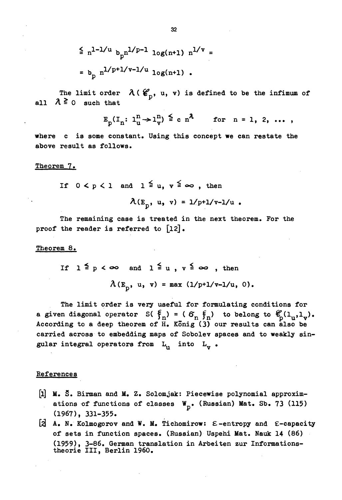$$
\leq n^{1-1/u} b_{p} n^{1/p-1} \log(n+1) n^{1/\nu} =
$$
  
=  $b_{p} n^{1/p+1/v-1/u} \log(n+1)$ .

The limit order  $\lambda$  ( $\mathcal{C}_n$ , u, v) is defined to be the infimum of all  $\lambda \ge 0$  such that

$$
E_p(I_n: 1^n_u \rightarrow 1^n_v) \stackrel{\scriptscriptstyle\leq}{\scriptscriptstyle\leq} c n^{\lambda} \qquad \text{for } n = 1, 2, \ldots
$$

where c is some constant. Using this concept we can restate the above result as follows.

#### Theorem 7.

If  $0 < p < 1$  and  $1 \leq u, v \leq \infty$ , then

 $\lambda(E_p, u, v) = 1/p+1/v-1/u$ .

The remaining case is treated in the next theorem. For the proof the reader is referred to  $[12]$ .

Theorem 8.

If 
$$
1 \leq p < \infty
$$
 and  $1 \leq u$ ,  $v \leq \infty$ , then  

$$
\lambda(E_p, u, v) = \max (1/p+1/v-1/u, 0).
$$

The limit order is very useful for formulating conditions for a given diagonal operator S( $\xi_n$ ) = ( $\sigma_n$  $\xi_n$ ) to belong to  $\mathcal{C}_{D}(1_{u},1_{v})$ . According to a deep theorem of H. König (3) our results can also be carried across to embedding maps of Sobolev spaces and to weakly singular integral operators from  $L_n$  into  $L_v$ .

#### References

- [1] M. S. Birman and M. Z. Solomjak: Piecewise polynomial approximations of functions of classes  $W_p$ . (Russian) Mat. Sb. 73 (115)  $(1967), 331-355.$
- [2] A. N. Kolmogorov and W. M. Tichomirow:  $\epsilon$ -entropy and  $\epsilon$ -capacity of sets in function spaces. (Russian) Uspehi Mat. Nauk 14 (86) (1959), 3-86. German translation in Arbeiten zur Informations-theorie III, Berlin 1960.